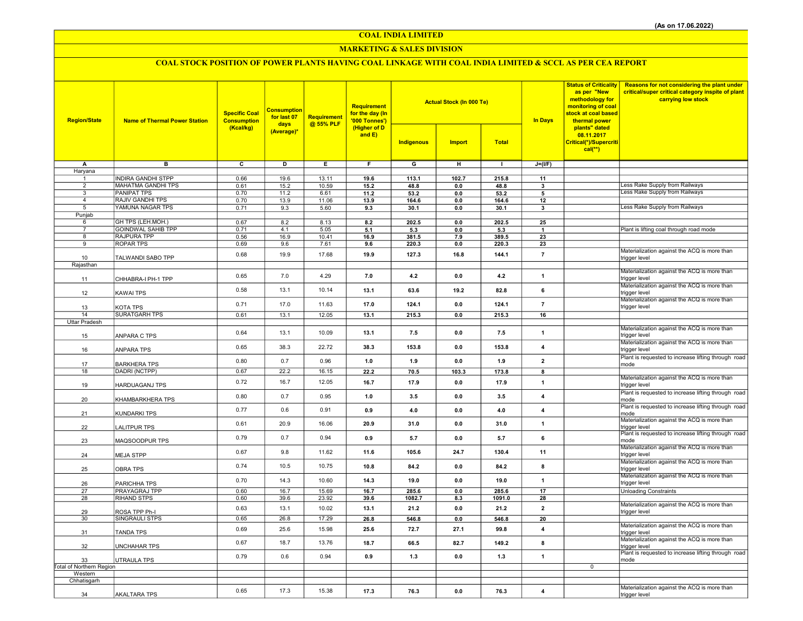COAL INDIA LIMITED

### MARKETING & SALES DIVISION

# COAL STOCK POSITION OF POWER PLANTS HAVING COAL LINKAGE WITH COAL INDIA LIMITED & SCCL AS PER CEA REPORT

| <b>Region/State</b>      | <b>Name of Thermal Power Station</b>            | <b>Specific Coal</b><br><b>Consumption</b><br>(Kcal/kg) | <b>Consumption</b><br>for last 07<br>days<br>(Average)* | Requirement<br>@ 55% PLF | Requirement<br>for the day (In<br>'000 Tonnes')<br>(Higher of D<br>and $E$ ) |                 | <b>Actual Stock (In 000 Te)</b> |                 | <b>In Days</b>          | <b>Status of Criticality</b><br>as per "New<br>methodology for<br>monitoring of coal<br>stock at coal based<br>thermal power<br>plants" dated | <b>Reasons for not considering the plant under</b><br>critical/super critical category inspite of plant<br>carrying low stock |
|--------------------------|-------------------------------------------------|---------------------------------------------------------|---------------------------------------------------------|--------------------------|------------------------------------------------------------------------------|-----------------|---------------------------------|-----------------|-------------------------|-----------------------------------------------------------------------------------------------------------------------------------------------|-------------------------------------------------------------------------------------------------------------------------------|
|                          |                                                 |                                                         |                                                         |                          |                                                                              | Indigenous      | <b>Import</b>                   | <b>Total</b>    |                         | 08.11.2017<br>Critical(*)/Supercriti<br>$cal(**)$                                                                                             |                                                                                                                               |
| Α                        | в                                               | $\overline{\mathbf{c}}$                                 | D                                                       | E                        | F.                                                                           | $\overline{G}$  | н                               | $\mathbf{I}$    | $J=(I/F)$               |                                                                                                                                               |                                                                                                                               |
| Haryana                  |                                                 |                                                         |                                                         |                          |                                                                              |                 |                                 |                 |                         |                                                                                                                                               |                                                                                                                               |
| 1<br>$\overline{2}$      | <b>INDIRA GANDHI STPP</b><br>MAHATMA GANDHI TPS | 0.66                                                    | 19.6                                                    | 13.11<br>10.59           | 19.6                                                                         | 113.1           | 102.7                           | 215.8<br>48.8   | 11                      |                                                                                                                                               | Less Rake Supply from Railways                                                                                                |
| 3                        | <b>PANIPAT TPS</b>                              | 0.61<br>0.70                                            | 15.2<br>11.2                                            | 6.61                     | 15.2<br>11.2                                                                 | 48.8<br>53.2    | 0.0<br>0.0                      | 53.2            | 3<br>5                  |                                                                                                                                               | <b>Less Rake Supply from Railways</b>                                                                                         |
| $\overline{4}$           | <b>RAJIV GANDHI TPS</b>                         | 0.70                                                    | 13.9                                                    | 11.06                    | 13.9                                                                         | 164.6           | 0.0                             | 164.6           | 12                      |                                                                                                                                               |                                                                                                                               |
| 5                        | YAMUNA NAGAR TPS                                | 0.71                                                    | 9.3                                                     | 5.60                     | 9.3                                                                          | 30.1            | 0.0                             | 30.1            | 3                       |                                                                                                                                               | Less Rake Supply from Railways                                                                                                |
| Punjab                   |                                                 |                                                         |                                                         |                          |                                                                              |                 |                                 |                 |                         |                                                                                                                                               |                                                                                                                               |
| 6<br>$\overline{7}$      | GH TPS (LEH.MOH.)<br><b>GOINDWAL SAHIB TPP</b>  | 0.67<br>0.71                                            | 8.2<br>4.1                                              | 8.13<br>5.05             | 8.2<br>5.1                                                                   | 202.5<br>5.3    | 0.0<br>0.0                      | 202.5<br>5.3    | 25<br>$\mathbf{1}$      |                                                                                                                                               | Plant is lifting coal through road mode                                                                                       |
| 8                        | RAJPURA TPP                                     | 0.56                                                    | 16.9                                                    | 10.41                    | 16.9                                                                         | 381.5           | 7.9                             | 389.5           | 23                      |                                                                                                                                               |                                                                                                                               |
| 9                        | ROPAR TPS                                       | 0.69                                                    | 9.6                                                     | 7.61                     | 9.6                                                                          | 220.3           | 0.0                             | 220.3           | 23                      |                                                                                                                                               |                                                                                                                               |
|                          |                                                 | 0.68                                                    | 19.9                                                    | 17.68                    | 19.9                                                                         | 127.3           | 16.8                            | 144.1           | $\bf 7$                 |                                                                                                                                               | Materialization against the ACQ is more than                                                                                  |
| 10<br>Rajasthan          | TALWANDI SABO TPP                               |                                                         |                                                         |                          |                                                                              |                 |                                 |                 |                         |                                                                                                                                               | trigger level                                                                                                                 |
|                          |                                                 |                                                         |                                                         |                          |                                                                              |                 |                                 |                 |                         |                                                                                                                                               | Materialization against the ACQ is more than                                                                                  |
| 11                       | CHHABRA-I PH-1 TPP                              | 0.65                                                    | 7.0                                                     | 4.29                     | 7.0                                                                          | 4.2             | 0.0                             | 4.2             | $\mathbf{1}$            |                                                                                                                                               | trigger level                                                                                                                 |
| 12                       | KAWAI TPS                                       | 0.58                                                    | 13.1                                                    | 10.14                    | 13.1                                                                         | 63.6            | 19.2                            | 82.8            | 6                       |                                                                                                                                               | Materialization against the ACQ is more than<br>trigger level                                                                 |
| 13                       | KOTA TPS                                        | 0.71                                                    | 17.0                                                    | 11.63                    | 17.0                                                                         | 124.1           | 0.0                             | 124.1           | $\overline{7}$          |                                                                                                                                               | Materialization against the ACQ is more than<br>trigger level                                                                 |
| 14                       | <b>SURATGARH TPS</b>                            | 0.61                                                    | 13.1                                                    | 12.05                    | 13.1                                                                         | 215.3           | 0.0                             | 215.3           | 16                      |                                                                                                                                               |                                                                                                                               |
| Uttar Pradesh            |                                                 |                                                         |                                                         |                          |                                                                              |                 |                                 |                 |                         |                                                                                                                                               |                                                                                                                               |
| 15                       | ANPARA C TPS                                    | 0.64                                                    | 13.1                                                    | 10.09                    | 13.1                                                                         | 7.5             | 0.0                             | 7.5             | $\mathbf{1}$            |                                                                                                                                               | Materialization against the ACQ is more than<br>trigger level                                                                 |
| 16                       | <b>ANPARA TPS</b>                               | 0.65                                                    | 38.3                                                    | 22.72                    | 38.3                                                                         | 153.8           | 0.0                             | 153.8           | $\overline{\mathbf{4}}$ |                                                                                                                                               | Materialization against the ACQ is more than<br>trigger level                                                                 |
| 17                       | BARKHERA TPS                                    | 0.80                                                    | 0.7                                                     | 0.96                     | 1.0                                                                          | 1.9             | 0.0                             | 1.9             | $\overline{2}$          |                                                                                                                                               | Plant is requested to increase lifting through road<br>mode                                                                   |
| 18                       | DADRI (NCTPP)                                   | 0.67                                                    | 22.2                                                    | 16.15                    | 22.2                                                                         | 70.5            | 103.3                           | 173.8           | 8                       |                                                                                                                                               |                                                                                                                               |
| 19                       | HARDUAGANJ TPS                                  | 0.72                                                    | 16.7                                                    | 12.05                    | 16.7                                                                         | 17.9            | 0.0                             | 17.9            | $\mathbf{1}$            |                                                                                                                                               | Materialization against the ACQ is more than<br>trigger level                                                                 |
| 20                       | KHAMBARKHERA TPS                                | 0.80                                                    | 0.7                                                     | 0.95                     | 1.0                                                                          | 3.5             | 0.0                             | 3.5             | $\overline{\mathbf{4}}$ |                                                                                                                                               | Plant is requested to increase lifting through road<br>mode                                                                   |
| 21                       | <b>KUNDARKI TPS</b>                             | 0.77                                                    | 0.6                                                     | 0.91                     | 0.9                                                                          | 4.0             | 0.0                             | 4.0             | $\overline{4}$          |                                                                                                                                               | Plant is requested to increase lifting through road<br>mode<br>Materialization against the ACQ is more than                   |
| 22                       | LALITPUR TPS                                    | 0.61                                                    | 20.9                                                    | 16.06                    | 20.9                                                                         | 31.0            | 0.0                             | 31.0            | $\mathbf{1}$            |                                                                                                                                               | trigger level<br>Plant is requested to increase lifting through road                                                          |
| 23                       | MAQSOODPUR TPS                                  | 0.79                                                    | 0.7                                                     | 0.94                     | 0.9                                                                          | 5.7             | 0.0                             | 5.7             | 6                       |                                                                                                                                               | mode<br>Materialization against the ACQ is more than                                                                          |
| 24                       | <b>MEJA STPP</b>                                | 0.67                                                    | 9.8                                                     | 11.62                    | 11.6                                                                         | 105.6           | 24.7                            | 130.4           | 11                      |                                                                                                                                               | trigger level<br>Materialization against the ACQ is more than                                                                 |
| 25                       | OBRA TPS                                        | 0.74<br>0.70                                            | 10.5<br>14.3                                            | 10.75<br>10.60           | 10.8                                                                         | 84.2            | 0.0                             | 84.2            | 8                       |                                                                                                                                               | trigger level<br>Materialization against the ACQ is more than                                                                 |
| 26                       | PARICHHA TPS                                    |                                                         |                                                         |                          | 14.3                                                                         | 19.0            | 0.0                             | 19.0            | $\mathbf{1}$            |                                                                                                                                               | trigger level                                                                                                                 |
| 27<br>28                 | PRAYAGRAJ TPP<br><b>RIHAND STPS</b>             | 0.60<br>0.60                                            | 16.7<br>39.6                                            | 15.69<br>23.92           | 16.7<br>39.6                                                                 | 285.6<br>1082.7 | 0.0<br>8.3                      | 285.6<br>1091.0 | 17<br>28                |                                                                                                                                               | <b>Unloading Constraints</b>                                                                                                  |
|                          |                                                 |                                                         |                                                         |                          |                                                                              |                 |                                 |                 |                         |                                                                                                                                               | Materialization against the ACQ is more than                                                                                  |
| 29                       | ROSA TPP Ph-I                                   | 0.63                                                    | 13.1                                                    | 10.02                    | 13.1                                                                         | 21.2            | 0.0                             | 21.2            | $\overline{2}$          |                                                                                                                                               | trigger level                                                                                                                 |
| 30                       | SINGRAULI STPS                                  | 0.65                                                    | 26.8                                                    | 17.29                    | 26.8                                                                         | 546.8           | 0.0                             | 546.8           | 20                      |                                                                                                                                               |                                                                                                                               |
| 31                       | <b>TANDA TPS</b>                                | 0.69                                                    | 25.6                                                    | 15.98                    | 25.6                                                                         | 72.7            | 27.1                            | 99.8            | $\overline{4}$          |                                                                                                                                               | Materialization against the ACQ is more than<br>trigger level                                                                 |
| 32                       | <b>UNCHAHAR TPS</b>                             | 0.67                                                    | 18.7                                                    | 13.76                    | 18.7                                                                         | 66.5            | 82.7                            | 149.2           | 8                       |                                                                                                                                               | Materialization against the ACQ is more than<br>trigger level<br>Plant is requested to increase lifting through road          |
| 33                       | UTRAULA TPS                                     | 0.79                                                    | 0.6                                                     | 0.94                     | 0.9                                                                          | $1.3$           | 0.0                             | 1.3             | $\mathbf{1}$            |                                                                                                                                               | mode                                                                                                                          |
| Total of Northern Region |                                                 |                                                         |                                                         |                          |                                                                              |                 |                                 |                 |                         | $\mathbf 0$                                                                                                                                   |                                                                                                                               |
| Western                  |                                                 |                                                         |                                                         |                          |                                                                              |                 |                                 |                 |                         |                                                                                                                                               |                                                                                                                               |
| Chhatisgarh              |                                                 |                                                         |                                                         |                          |                                                                              |                 |                                 |                 |                         |                                                                                                                                               | Materialization against the ACQ is more than                                                                                  |
| 34                       | <b>AKALTARA TPS</b>                             | 0.65                                                    | 17.3                                                    | 15.38                    | 17.3                                                                         | 76.3            | 0.0                             | 76.3            | $\overline{4}$          |                                                                                                                                               | trigger level                                                                                                                 |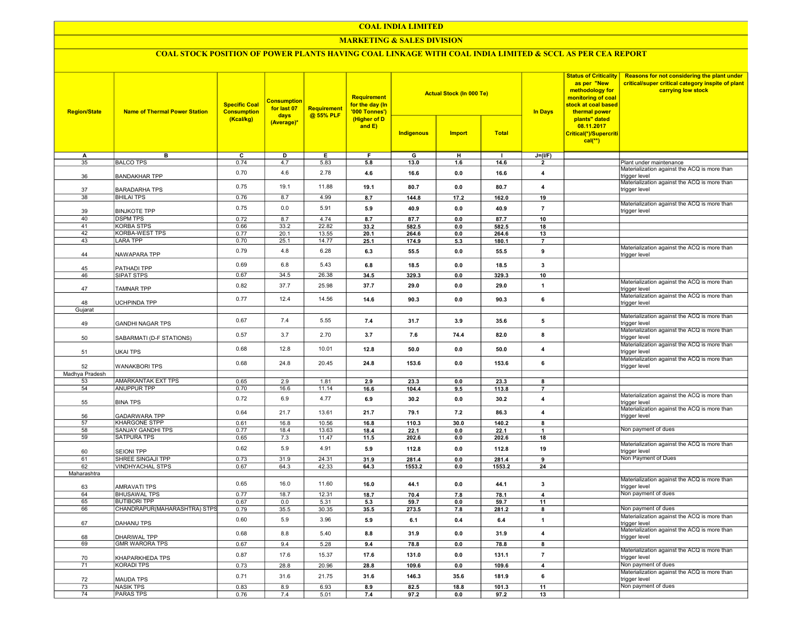### COAL INDIA LIMITED

### MARKETING & SALES DIVISION

## COAL STOCK POSITION OF POWER PLANTS HAVING COAL LINKAGE WITH COAL INDIA LIMITED & SCCL AS PER CEA REPORT

| <b>Region/State</b>   | <b>Name of Thermal Power Station</b>         | <b>Specific Coal</b><br><b>Consumption</b> | <b>Consumption</b><br>for last 07<br>days | Requirement<br>@ 55% PLF | Requirement<br>for the day (In<br>'000 Tonnes') |               | <b>Actual Stock (In 000 Te)</b> |               | <b>Status of Criticality</b><br>as per "New<br>methodology for<br>monitoring of coal<br>stock at coal based<br><b>In Days</b><br>thermal power | Reasons for not considering the plant under<br>critical/super critical category inspite of plant<br>carrying low stock |                                                                                                               |
|-----------------------|----------------------------------------------|--------------------------------------------|-------------------------------------------|--------------------------|-------------------------------------------------|---------------|---------------------------------|---------------|------------------------------------------------------------------------------------------------------------------------------------------------|------------------------------------------------------------------------------------------------------------------------|---------------------------------------------------------------------------------------------------------------|
|                       |                                              | (Kcal/kg)                                  | (Average)*                                |                          | (Higher of D<br>and E)                          | Indigenous    | <b>Import</b>                   | <b>Total</b>  |                                                                                                                                                | plants" dated<br>08.11.2017<br>Critical(*)/Supercriti<br>$cal(**)$                                                     |                                                                                                               |
| А                     | в                                            | $\overline{c}$                             | D                                         | E                        | F                                               | G             | н                               |               | $J=(I/F)$                                                                                                                                      |                                                                                                                        |                                                                                                               |
| 35                    | <b>BALCO TPS</b>                             | 0.74                                       | 4.7                                       | 5.83                     | 5.8                                             | 13.0          | 1.6                             | 14.6          | $\overline{2}$                                                                                                                                 |                                                                                                                        | Plant under maintenance                                                                                       |
| 36                    | <b>BANDAKHAR TPP</b>                         | 0.70                                       | 4.6                                       | 2.78                     | 4.6                                             | 16.6          | 0.0                             | 16.6          | $\overline{\mathbf{4}}$                                                                                                                        |                                                                                                                        | Materialization against the ACQ is more than<br>trigger level<br>Materialization against the ACQ is more than |
| 37                    | <b>BARADARHA TPS</b>                         | 0.75                                       | 19.1                                      | 11.88                    | 19.1                                            | 80.7          | 0.0                             | 80.7          | $\overline{4}$                                                                                                                                 |                                                                                                                        | trigger level                                                                                                 |
| 38                    | <b>BHILAI TPS</b>                            | 0.76                                       | 8.7                                       | 4.99                     | 8.7                                             | 144.8         | 17.2                            | 162.0         | 19                                                                                                                                             |                                                                                                                        | Materialization against the ACQ is more than                                                                  |
| 39                    | <b>BINJKOTE TPP</b>                          | 0.75                                       | 0.0                                       | 5.91                     | 5.9                                             | 40.9          | 0.0                             | 40.9          | $\overline{7}$                                                                                                                                 |                                                                                                                        | trigger level                                                                                                 |
| 40<br>41              | <b>DSPM TPS</b><br><b>KORBA STPS</b>         | 0.72<br>0.66                               | 8.7<br>33.2                               | 4.74<br>22.82            | 8.7<br>33.2                                     | 87.7<br>582.5 | 0.0<br>0.0                      | 87.7<br>582.5 | 10<br>18                                                                                                                                       |                                                                                                                        |                                                                                                               |
| $\overline{42}$       | <b>KORBA-WEST TPS</b>                        | 0.77                                       | 20.1                                      | 13.55                    | 20.1                                            | 264.6         | 0.0                             | 264.6         | 13                                                                                                                                             |                                                                                                                        |                                                                                                               |
| 43                    | <b>LARA TPP</b>                              | 0.70                                       | 25.1                                      | 14.77                    | 25.1                                            | 174.9         | 5.3                             | 180.1         | $\overline{7}$                                                                                                                                 |                                                                                                                        |                                                                                                               |
| 44                    | NAWAPARA TPP                                 | 0.79                                       | 4.8                                       | 6.28                     | 6.3                                             | 55.5          | 0.0                             | 55.5          | 9                                                                                                                                              |                                                                                                                        | Materialization against the ACQ is more than<br>trigger level                                                 |
| 45                    | PATHADI TPP                                  | 0.69                                       | 6.8                                       | 5.43                     | 6.8                                             | 18.5          | 0.0                             | 18.5          | $\mathbf{3}$                                                                                                                                   |                                                                                                                        |                                                                                                               |
| 46                    | SIPAT STPS                                   | 0.67                                       | 34.5                                      | 26.38                    | 34.5                                            | 329.3         | 0.0                             | 329.3         | 10                                                                                                                                             |                                                                                                                        |                                                                                                               |
| 47                    | <b>TAMNAR TPP</b>                            | 0.82                                       | 37.7                                      | 25.98                    | 37.7                                            | 29.0          | 0.0                             | 29.0          | $\mathbf{1}$                                                                                                                                   |                                                                                                                        | Materialization against the ACQ is more than<br>trigger level                                                 |
|                       |                                              | 0.77                                       | 12.4                                      | 14.56                    | 14.6                                            | 90.3          | 0.0                             | 90.3          | $\bf{6}$                                                                                                                                       |                                                                                                                        | Materialization against the ACQ is more than                                                                  |
| 48                    | UCHPINDA TPP                                 |                                            |                                           |                          |                                                 |               |                                 |               |                                                                                                                                                |                                                                                                                        | trigger level                                                                                                 |
| Gujarat               |                                              |                                            |                                           |                          |                                                 |               |                                 |               |                                                                                                                                                |                                                                                                                        | Materialization against the ACQ is more than                                                                  |
| 49                    | <b>GANDHI NAGAR TPS</b>                      | 0.67                                       | 7.4                                       | 5.55                     | 7.4                                             | 31.7          | 3.9                             | 35.6          | 5                                                                                                                                              |                                                                                                                        | rigger level<br>Materialization against the ACQ is more than                                                  |
| 50                    | SABARMATI (D-F STATIONS)                     | 0.57                                       | 3.7                                       | 2.70                     | 3.7                                             | 7.6           | 74.4                            | 82.0          | 8                                                                                                                                              |                                                                                                                        | trigger level                                                                                                 |
| 51                    | <b>UKAI TPS</b>                              | 0.68                                       | 12.8                                      | 10.01                    | 12.8                                            | 50.0          | 0.0                             | 50.0          | $\overline{\mathbf{4}}$                                                                                                                        |                                                                                                                        | Materialization against the ACQ is more than<br>trigger level                                                 |
| 52                    | <b>WANAKBORI TPS</b>                         | 0.68                                       | 24.8                                      | 20.45                    | 24.8                                            | 153.6         | 0.0                             | 153.6         | 6                                                                                                                                              |                                                                                                                        | Materialization against the ACQ is more than<br>trigger level                                                 |
| Madhya Pradesh        |                                              |                                            |                                           |                          |                                                 |               |                                 |               |                                                                                                                                                |                                                                                                                        |                                                                                                               |
| 53                    | AMARKANTAK EXT TPS                           | 0.65                                       | 2.9                                       | 1.81                     | 2.9                                             | 23.3          | 0.0                             | 23.3          | 8                                                                                                                                              |                                                                                                                        |                                                                                                               |
| 54                    | <b>ANUPPUR TPP</b>                           | 0.70                                       | 16.6                                      | 11.14                    | 16.6                                            | 104.4         | 9.5                             | 113.8         | $\overline{7}$                                                                                                                                 |                                                                                                                        |                                                                                                               |
| 55                    | <b>BINA TPS</b>                              | 0.72                                       | 6.9                                       | 4.77                     | 6.9                                             | 30.2          | 0.0                             | 30.2          | $\overline{\mathbf{4}}$                                                                                                                        |                                                                                                                        | Materialization against the ACQ is more than<br>trigger level                                                 |
| 56<br>$\overline{57}$ | <b>GADARWARA TPP</b><br><b>KHARGONE STPP</b> | 0.64<br>0.61                               | 21.7<br>16.8                              | 13.61<br>10.56           | 21.7                                            | 79.1          | 7.2<br>30.0                     | 86.3          | $\overline{\mathbf{4}}$                                                                                                                        |                                                                                                                        | Materialization against the ACQ is more than<br>trigger level                                                 |
| 58                    | SANJAY GANDHI TPS                            | 0.77                                       | 18.4                                      | 13.63                    | 16.8<br>18.4                                    | 110.3<br>22.1 | 0.0                             | 140.2<br>22.1 | 8<br>$\overline{\mathbf{1}}$                                                                                                                   |                                                                                                                        | Non payment of dues                                                                                           |
| 59                    | <b>SATPURA TPS</b>                           | 0.65                                       | 7.3                                       | 11.47                    | 11.5                                            | 202.6         | 0.0                             | 202.6         | 18                                                                                                                                             |                                                                                                                        |                                                                                                               |
| 60                    | <b>SEIONI TPP</b>                            | 0.62                                       | 5.9                                       | 4.91                     | 5.9                                             | 112.8         | 0.0                             | 112.8         | 19                                                                                                                                             |                                                                                                                        | Materialization against the ACQ is more than<br>trigger level                                                 |
| 61                    | SHREE SINGAJI TPP                            | 0.73                                       | 31.9                                      | 24.31                    | 31.9                                            | 281.4         | 0.0                             | 281.4         | 9                                                                                                                                              |                                                                                                                        | Non Payment of Dues                                                                                           |
| 62                    | <b>VINDHYACHAL STPS</b>                      | 0.67                                       | 64.3                                      | 42.33                    | 64.3                                            | 1553.2        | 0.0                             | 1553.2        | 24                                                                                                                                             |                                                                                                                        |                                                                                                               |
| Maharashtra           |                                              |                                            |                                           |                          |                                                 |               |                                 |               |                                                                                                                                                |                                                                                                                        |                                                                                                               |
| 63                    | AMRAVATI TPS                                 | 0.65                                       | 16.0                                      | 11.60                    | 16.0                                            | 44.1          | 0.0                             | 44.1          | $\mathbf{3}$                                                                                                                                   |                                                                                                                        | Materialization against the ACQ is more than<br>trigger level                                                 |
| 64                    | <b>BHUSAWAL TPS</b>                          | 0.77                                       | 18.7                                      | 12.31                    | 18.7                                            | 70.4          | 7.8                             | 78.1          | $\overline{4}$                                                                                                                                 |                                                                                                                        | Non payment of dues                                                                                           |
| 65                    | <b>BUTIBORI TPP</b>                          | 0.67                                       | 0.0                                       | 5.31                     | 5.3                                             | 59.7          | 0.0                             | 59.7          | 11                                                                                                                                             |                                                                                                                        |                                                                                                               |
| 66                    | CHANDRAPUR(MAHARASHTRA) STPS                 | 0.79                                       | 35.5                                      | 30.35                    | 35.5                                            | 273.5         | 7.8                             | 281.2         | 8                                                                                                                                              |                                                                                                                        | Non payment of dues                                                                                           |
| 67                    | DAHANU TPS                                   | 0.60                                       | 5.9                                       | 3.96                     | 5.9                                             | 6.1           | 0.4                             | 6.4           | $\mathbf{1}$                                                                                                                                   |                                                                                                                        | Materialization against the ACQ is more than<br>trigger level                                                 |
| 68                    | <b>DHARIWAL TPP</b>                          | 0.68                                       | 8.8                                       | 5.40                     | 8.8                                             | 31.9          | 0.0                             | 31.9          | $\overline{4}$                                                                                                                                 |                                                                                                                        | Materialization against the ACQ is more than<br>trigger level                                                 |
| 69                    | <b>GMR WARORA TPS</b>                        | 0.67                                       | 9.4                                       | 5.28                     | 9.4                                             | 78.8          | 0.0                             | 78.8          | 8                                                                                                                                              |                                                                                                                        |                                                                                                               |
| 70                    | KHAPARKHEDA TPS                              | 0.87                                       | 17.6                                      | 15.37                    | 17.6                                            | 131.0         | 0.0                             | 131.1         | $\overline{7}$                                                                                                                                 |                                                                                                                        | Materialization against the ACQ is more than<br>trigger level                                                 |
| $\overline{71}$       | <b>KORADI TPS</b>                            | 0.73                                       | 28.8                                      | 20.96                    | 28.8                                            | 109.6         | 0.0                             | 109.6         | $\overline{4}$                                                                                                                                 |                                                                                                                        | Non payment of dues                                                                                           |
| 72                    | <b>MAUDA TPS</b>                             | 0.71                                       | 31.6                                      | 21.75                    | 31.6                                            | 146.3         | 35.6                            | 181.9         | $\bf{6}$                                                                                                                                       |                                                                                                                        | Materialization against the ACQ is more than<br>trigger level                                                 |
| $\overline{73}$       | <b>NASIK TPS</b>                             | 0.83                                       | 8.9                                       | 6.93                     | 8.9                                             | 82.5          | 18.8                            | 101.3         | 11                                                                                                                                             |                                                                                                                        | Non payment of dues                                                                                           |
| $\overline{74}$       | <b>PARAS TPS</b>                             | 0.76                                       | 7.4                                       | 5.01                     | 7.4                                             | 97.2          | 0.0                             | 97.2          | 13                                                                                                                                             |                                                                                                                        |                                                                                                               |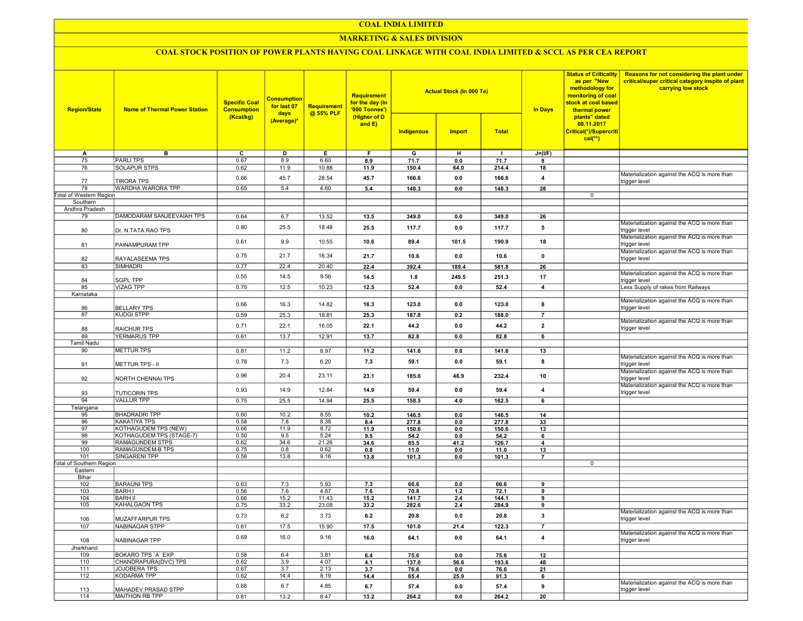### COAL INDIA LIMITED

### **MARKETING & SALES DIVISION**

# COAL STOCK POSITION OF POWER PLANTS HAVING COAL LINKAGE WITH COAL INDIA LIMITED & SCCL AS PER CEA REPORT

| <b>Region/State</b>             | <b>Consumption</b><br><b>Specific Coal</b><br>for last 07<br><b>Name of Thermal Power Station</b><br><b>Consumption</b><br>days<br>(Kcal/kg)<br>(Average)* |              |             |              | <b>Requirement</b><br>for the day (In<br>'000 Tonnes')<br>(Higher of D<br>and E) |               | <b>Actual Stock (In 000 Te)</b> |              | <b>In Days</b>          | <b>Status of Criticality</b><br>as per "New<br>methodology for<br>monitoring of coal<br>stock at coal based<br>thermal power<br>plants" dated<br>08.11.2017 | Reasons for not considering the plant under<br>critical/super critical category inspite of plant<br>carrying low stock |
|---------------------------------|------------------------------------------------------------------------------------------------------------------------------------------------------------|--------------|-------------|--------------|----------------------------------------------------------------------------------|---------------|---------------------------------|--------------|-------------------------|-------------------------------------------------------------------------------------------------------------------------------------------------------------|------------------------------------------------------------------------------------------------------------------------|
|                                 |                                                                                                                                                            |              |             |              |                                                                                  | Indigenous    | Import                          | <b>Total</b> |                         | Critical(*)/Supercriti<br>$cal(**)$                                                                                                                         |                                                                                                                        |
| A                               | в                                                                                                                                                          | C            | D           | Е.           | F.                                                                               | G             | н                               | $\mathbf{I}$ | $J=(I/F)$               |                                                                                                                                                             |                                                                                                                        |
| 75                              | <b>PARLITPS</b>                                                                                                                                            | 0.67         | 8.9         | 6.60         | 8.9                                                                              | 71.7          | 0.0                             | 71.7         | 8                       |                                                                                                                                                             |                                                                                                                        |
| 76                              | <b>SOLAPUR STPS</b>                                                                                                                                        | 0.62         | 11.9        | 10.88        | 11.9                                                                             | 150.4         | 64.0                            | 214.4        | 18                      |                                                                                                                                                             |                                                                                                                        |
| 77                              | <b>TIRORA TPS</b>                                                                                                                                          | 0.66         | 45.7        | 28.54        | 45.7                                                                             | 166.6         | 0.0                             | 166.6        | $\overline{4}$          |                                                                                                                                                             | Materialization against the ACQ is more than<br>trigger level                                                          |
| 78                              | WARDHA WARORA TPP                                                                                                                                          | 0.65         | 5.4         | 4.60         | 5.4                                                                              | 148.3         | 0.0                             | 148.3        | 28                      |                                                                                                                                                             |                                                                                                                        |
| <b>Total of Western Region</b>  |                                                                                                                                                            |              |             |              |                                                                                  |               |                                 |              |                         | 0                                                                                                                                                           |                                                                                                                        |
| Southern                        |                                                                                                                                                            |              |             |              |                                                                                  |               |                                 |              |                         |                                                                                                                                                             |                                                                                                                        |
| Andhra Pradesh                  |                                                                                                                                                            |              |             |              |                                                                                  |               |                                 |              |                         |                                                                                                                                                             |                                                                                                                        |
| 79                              | DAMODARAM SANJEEVAIAH TPS                                                                                                                                  | 0.64         | 6.7         | 13.52        | 13.5                                                                             | 349.0         | 0.0                             | 349.0        | 26                      |                                                                                                                                                             |                                                                                                                        |
| 80                              | Dr. N.TATA RAO TPS                                                                                                                                         | 0.80         | 25.5        | 18.48        | 25.5                                                                             | 117.7         | 0.0                             | 117.7        | 5                       |                                                                                                                                                             | Materialization against the ACQ is more than<br>trigger level                                                          |
| 81                              | PAINAMPURAM TPP                                                                                                                                            | 0.61         | 9.9         | 10.55        | 10.6                                                                             | 89.4          | 101.5                           | 190.9        | 18                      |                                                                                                                                                             | Materialization against the ACQ is more than<br>trigger level                                                          |
| 82                              | RAYALASEEMA TPS                                                                                                                                            | 0.75         | 21.7        | 16.34        | 21.7                                                                             | 10.6          | 0.0                             | 10.6         | $\mathbf 0$             |                                                                                                                                                             | Materialization against the ACQ is more than<br>trigger level                                                          |
| 83                              | SIMHADRI                                                                                                                                                   | 0.77         | 22.4        | 20.40        | 22.4                                                                             | 392.4         | 189.4                           | 581.8        | 26                      |                                                                                                                                                             |                                                                                                                        |
| 84                              | <b>SGPL TPP</b>                                                                                                                                            | 0.55         | 14.5        | 9.56         | 14.5                                                                             | 1.8           | 249.5                           | 251.3        | 17                      |                                                                                                                                                             | Materialization against the ACQ is more than<br>trigger level                                                          |
| 85                              | <b>VIZAG TPP</b>                                                                                                                                           | 0.75         | 12.5        | 10.23        | 12.5                                                                             | 52.4          | 0.0                             | 52.4         | $\overline{4}$          |                                                                                                                                                             | Less Supply of rakes from Railways                                                                                     |
| Karnataka                       |                                                                                                                                                            |              |             |              |                                                                                  |               |                                 |              |                         |                                                                                                                                                             |                                                                                                                        |
| 86                              | <b>BELLARY TPS</b>                                                                                                                                         | 0.66         | 16.3        | 14.82        | 16.3                                                                             | 123.0         | 0.0                             | 123.0        | 8                       |                                                                                                                                                             | Materialization against the ACQ is more than<br>trigger level                                                          |
| 87                              | <b>KUDGI STPP</b>                                                                                                                                          | 0.59         | 25.3        | 18.81        | 25.3                                                                             | 187.8         | 0.2                             | 188.0        | $\overline{7}$          |                                                                                                                                                             |                                                                                                                        |
| 88                              | <b>RAICHUR TPS</b>                                                                                                                                         | 0.71         | 22.1        | 16.05        | 22.1                                                                             | 44.2          | 0.0                             | 44.2         | $\mathbf{2}$            |                                                                                                                                                             | Materialization against the ACQ is more than<br>trigger level                                                          |
| 89                              | YERMARUS TPP                                                                                                                                               | 0.61         | 13.7        | 12.91        | 13.7                                                                             | 82.8          | 0.0                             | 82.8         | 6                       |                                                                                                                                                             |                                                                                                                        |
| <b>Tamil Nadu</b>               |                                                                                                                                                            |              |             |              |                                                                                  |               |                                 |              |                         |                                                                                                                                                             |                                                                                                                        |
| 90                              | <b>METTUR TPS</b>                                                                                                                                          | 0.81         | 11.2        | 8.97         | 11.2                                                                             | 141.6         | 0.0                             | 141.6        | 13                      |                                                                                                                                                             |                                                                                                                        |
| 91                              | <b>METTUR TPS - II</b>                                                                                                                                     | 0.78         | 7.3         | 6.20         | 7.3                                                                              | 59.1          | 0.0                             | 59.1         | 8                       |                                                                                                                                                             | Materialization against the ACQ is more than<br>trigger level                                                          |
| 92                              | NORTH CHENNAI TPS                                                                                                                                          | 0.96         | 20.4        | 23.11        | 23.1                                                                             | 185.6         | 46.9                            | 232.4        | 10                      |                                                                                                                                                             | Materialization against the ACQ is more than<br>trigger level                                                          |
| 93                              | <b>TUTICORIN TPS</b>                                                                                                                                       | 0.93         | 14.9        | 12.84        | 14.9                                                                             | 59.4          | 0.0                             | 59.4         | 4                       |                                                                                                                                                             | Materialization against the ACQ is more than<br>trigger level                                                          |
| 94                              | <b>VALLUR TPP</b>                                                                                                                                          | 0.75         | 25.5        | 14.94        | 25.5                                                                             | 158.5         | 4.0                             | 162.5        | 6                       |                                                                                                                                                             |                                                                                                                        |
| Telangana                       |                                                                                                                                                            |              |             |              |                                                                                  |               |                                 |              |                         |                                                                                                                                                             |                                                                                                                        |
| 95                              | <b>BHADRADRI TPP</b>                                                                                                                                       | 0.60         | 10.2        | 8.55         | 10.2                                                                             | 146.5         | 0.0                             | 146.5        | 14                      |                                                                                                                                                             |                                                                                                                        |
| 96                              | <b>KAKATIYA TPS</b>                                                                                                                                        | 0.58         | 7.8         | 8.38         | 8.4                                                                              | 277.8         | 0.0                             | 277.8        | 33                      |                                                                                                                                                             |                                                                                                                        |
| 97                              | KOTHAGUDEM TPS (NEW)                                                                                                                                       | 0.66         | 11.9        | 8.72         | 11.9                                                                             | 150.6         | 0.0                             | 150.6        | 13                      |                                                                                                                                                             |                                                                                                                        |
| 98                              | KOTHAGUDEM TPS (STAGE-7)                                                                                                                                   | 0.50         | 9.5         | 5.24         | 9.5                                                                              | 54.2          | 0.0                             | 54.2         | 6                       |                                                                                                                                                             |                                                                                                                        |
| 99                              | RAMAGUNDEM STPS                                                                                                                                            | 0.62         | 34.6        | 21.26        | 34.6                                                                             | 85.5          | 41.2                            | 126.7        | $\overline{4}$          |                                                                                                                                                             |                                                                                                                        |
| 100<br>101                      | RAMAGUNDEM-B TPS<br>SINGARENI TPP                                                                                                                          | 0.75<br>0.58 | 0.8<br>13.8 | 0.62<br>9.16 | 0.8<br>13.8                                                                      | 11.0<br>101.3 | 0.0<br>0.0                      | 11.0         | 13                      |                                                                                                                                                             |                                                                                                                        |
| <b>Total of Southern Region</b> |                                                                                                                                                            |              |             |              |                                                                                  |               |                                 | 101.3        | $\overline{7}$          | 0                                                                                                                                                           |                                                                                                                        |
| Eastern                         |                                                                                                                                                            |              |             |              |                                                                                  |               |                                 |              |                         |                                                                                                                                                             |                                                                                                                        |
| Bihar                           |                                                                                                                                                            |              |             |              |                                                                                  |               |                                 |              |                         |                                                                                                                                                             |                                                                                                                        |
| 102                             | <b>BARAUNI TPS</b>                                                                                                                                         | 0.63         | 7.3         | 5.93         | 7.3                                                                              | 66.6          | 0.0                             | 66.6         | 9                       |                                                                                                                                                             |                                                                                                                        |
| 103                             | <b>BARHI</b>                                                                                                                                               | 0.56         | 7.6         | 4.87         | 7.6                                                                              | 70.8          | $1.2$                           | 72.1         | 9                       |                                                                                                                                                             |                                                                                                                        |
| 104                             | <b>BARH II</b>                                                                                                                                             | 0.66         | 15.2        | 11.43        | 15.2                                                                             | 141.7         | 2.4                             | 144.1        | 9                       |                                                                                                                                                             |                                                                                                                        |
| 105                             | KAHALGAON TPS                                                                                                                                              | 0.75         | 33.2        | 23.08        | 33.2                                                                             | 282.6         | 2.4                             | 284.9        | 9                       |                                                                                                                                                             |                                                                                                                        |
| 106                             | MUZAFFARPUR TPS                                                                                                                                            | 0.73         | 6.2         | 3.73         | 6.2                                                                              | 20.8          | 0.0                             | 20.8         | 3                       |                                                                                                                                                             | Materialization against the ACQ is more than<br>trigger level                                                          |
| 107                             | NABINAGAR STPP                                                                                                                                             | 0.61         | 17.5        | 15.90        | 17.5                                                                             | 101.0         | 21.4                            | 122.3        | $\overline{7}$          |                                                                                                                                                             |                                                                                                                        |
| 108                             | NABINAGAR TPP                                                                                                                                              | 0.69         | 16.0        | 9.16         | 16.0                                                                             | 64.1          | 0.0                             | 64.1         | $\overline{\mathbf{4}}$ |                                                                                                                                                             | Materialization against the ACQ is more than<br>trigger level                                                          |
| Jharkhand                       |                                                                                                                                                            |              |             |              |                                                                                  |               |                                 |              |                         |                                                                                                                                                             |                                                                                                                        |
| 109                             | BOKARO TPS 'A' EXP                                                                                                                                         | 0.58         | 6.4         | 3.81         | 6.4                                                                              | 75.6          | 0.0                             | 75.6         | 12                      |                                                                                                                                                             |                                                                                                                        |
| 110                             | CHANDRAPURA(DVC) TPS                                                                                                                                       | 0.62         | 3.9         | 4.07         | 4.1                                                                              | 137.0         | 56.6                            | 193.6        | 48                      |                                                                                                                                                             |                                                                                                                        |
| 111                             | <b>JOJOBERA TPS</b>                                                                                                                                        | 0.67         | 3.7         | 2.13         | 3.7                                                                              | 76.6          | 0.0                             | 76.6         | 21                      |                                                                                                                                                             |                                                                                                                        |
| 112                             | KODARMA TPP                                                                                                                                                | 0.62         | 14.4        | 8.19         | 14.4                                                                             | 65.4          | 25.9                            | 91.3         | 6                       |                                                                                                                                                             |                                                                                                                        |
| 113                             | MAHADEV PRASAD STPP                                                                                                                                        | 0.68         | 6.7         | 4.85         | 6.7                                                                              | 57.4          | 0.0                             | 57.4         | 9                       |                                                                                                                                                             | Materialization against the ACQ is more than<br>trigger level                                                          |
| 114                             | MAITHON RB TPP                                                                                                                                             | 0.61         | 13.2        | 8.47         | 13.2                                                                             | 264.2         | 0.0                             | 264.2        | 20                      |                                                                                                                                                             |                                                                                                                        |